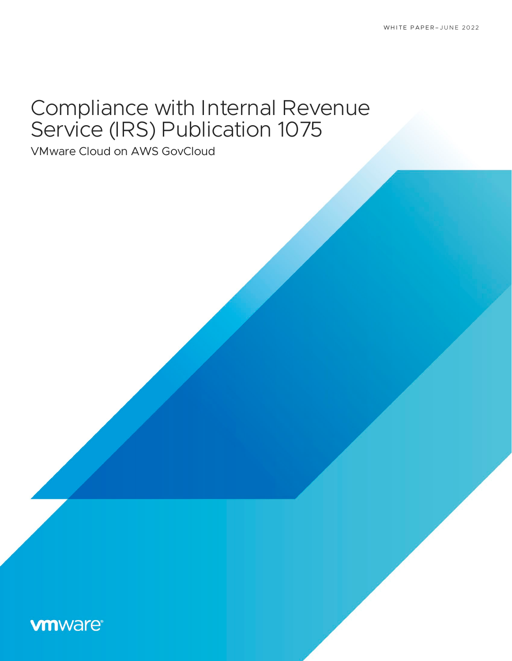# Compliance with Internal Revenue Service (IRS) Publication 1075

VMware Cloud on AWS GovCloud

### **vm**ware<sup>®</sup>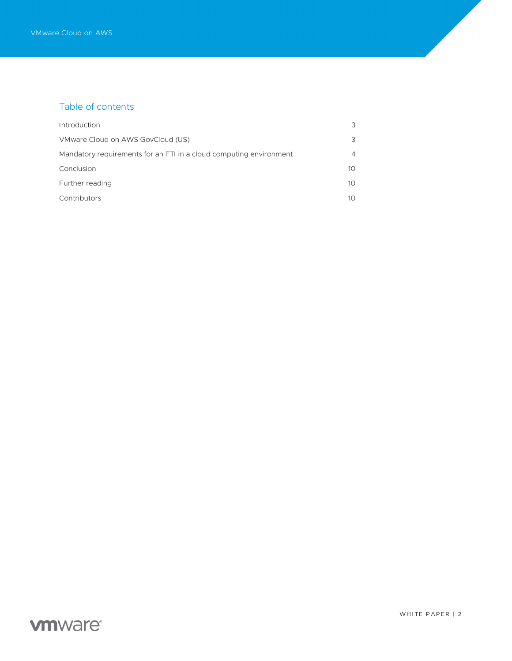### Table of contents

| Introduction                                                       | 3            |
|--------------------------------------------------------------------|--------------|
| VMware Cloud on AWS GovCloud (US)                                  | 3            |
| Mandatory requirements for an FTI in a cloud computing environment | 4            |
| Conclusion                                                         | $10^{\circ}$ |
| Further reading                                                    | 10           |
| Contributors                                                       | 10.          |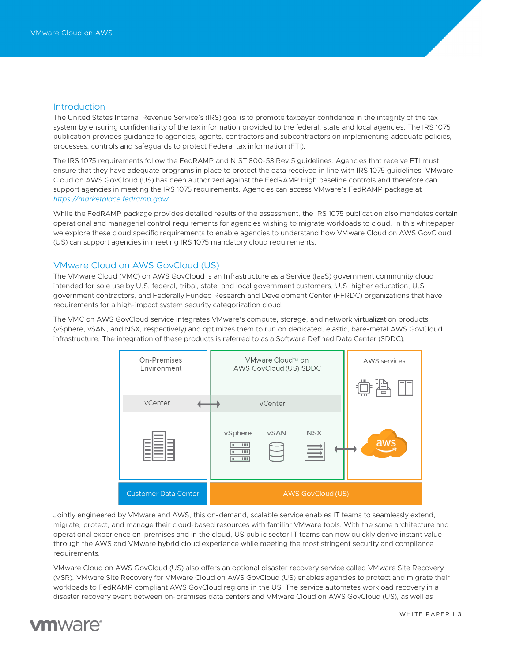#### <span id="page-2-0"></span>**Introduction**

The United States Internal Revenue Service's (IRS) goal is to promote taxpayer confidence in the integrity of the tax system by ensuring confidentiality of the tax information provided to the federal, state and local agencies. The IRS 1075 publication provides guidance to agencies, agents, contractors and subcontractors on implementing adequate policies, processes, controls and safeguards to protect Federal tax information (FTI).

The IRS 1075 requirements follow the FedRAMP and NIST 800-53 Rev.5 guidelines. Agencies that receive FTI must ensure that they have adequate programs in place to protect the data received in line with IRS 1075 guidelines. VMware Cloud on AWS GovCloud (US) has been authorized against the FedRAMP High baseline controls and therefore can support agencies in meeting the IRS 1075 requirements. Agencies can access VMware's FedRAMP package at *<https://marketplace.fedramp.gov/>*

While the FedRAMP package provides detailed results of the assessment, the IRS 1075 publication also mandates certain operational and managerial control requirements for agencies wishing to migrate workloads to cloud. In this whitepaper we explore these cloud specific requirements to enable agencies to understand how VMware Cloud on AWS GovCloud (US) can support agencies in meeting IRS 1075 mandatory cloud requirements.

### <span id="page-2-1"></span>VMware Cloud on AWS GovCloud (US)

The VMware Cloud (VMC) on AWS GovCloud is an Infrastructure as a Service (IaaS) government community cloud intended for sole use by U.S. federal, tribal, state, and local government customers, U.S. higher education, U.S. government contractors, and Federally Funded Research and Development Center (FFRDC) organizations that have requirements for a high-impact system security categorization cloud.

The VMC on AWS GovCloud service integrates VMware's compute, storage, and network virtualization products (vSphere, vSAN, and NSX, respectively) and optimizes them to run on dedicated, elastic, bare-metal AWS GovCloud infrastructure. The integration of these products is referred to as a Software Defined Data Center (SDDC).



Jointly engineered by VMware and AWS, this on-demand, scalable service enables IT teams to seamlessly extend, migrate, protect, and manage their cloud-based resources with familiar VMware tools. With the same architecture and operational experience on-premises and in the cloud, US public sector IT teams can now quickly derive instant value through the AWS and VMware hybrid cloud experience while meeting the most stringent security and compliance requirements.

VMware Cloud on AWS GovCloud (US) also offers an optional disaster recovery service called VMware Site Recovery (VSR). VMware Site Recovery for VMware Cloud on AWS GovCloud (US) enables agencies to protect and migrate their workloads to FedRAMP compliant AWS GovCloud regions in the US. The service automates workload recovery in a disaster recovery event between on-premises data centers and VMware Cloud on AWS GovCloud (US), as well as

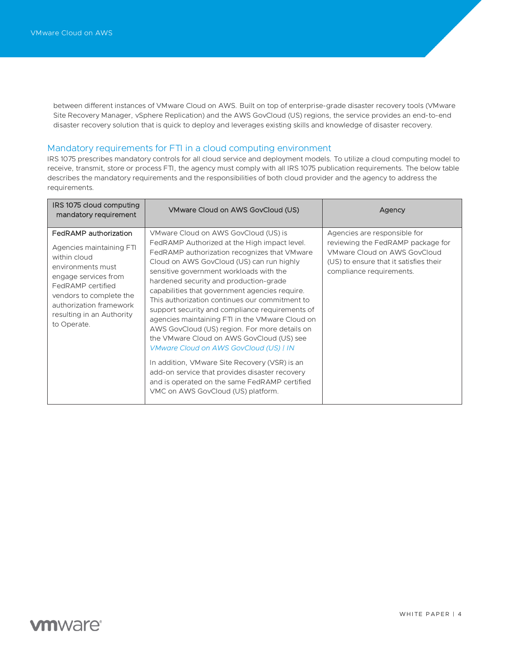between different instances of VMware Cloud on AWS. Built on top of enterprise-grade disaster recovery tools (VMware Site Recovery Manager, vSphere Replication) and the AWS GovCloud (US) regions, the service provides an end-to-end disaster recovery solution that is quick to deploy and leverages existing skills and knowledge of disaster recovery.

### <span id="page-3-0"></span>Mandatory requirements for FTI in a cloud computing environment

IRS 1075 prescribes mandatory controls for all cloud service and deployment models. To utilize a cloud computing model to receive, transmit, store or process FTI, the agency must comply with all IRS 1075 publication requirements. The below table describes the mandatory requirements and the responsibilities of both cloud provider and the agency to address the requirements.

| IRS 1075 cloud computing<br>mandatory requirement                                                                                                                                                                                     | VMware Cloud on AWS GovCloud (US)                                                                                                                                                                                                                                                                                                                                                                                                                                                                                                                                                                                                                                                                                                                                                                                   | Agency                                                                                                                                                                  |
|---------------------------------------------------------------------------------------------------------------------------------------------------------------------------------------------------------------------------------------|---------------------------------------------------------------------------------------------------------------------------------------------------------------------------------------------------------------------------------------------------------------------------------------------------------------------------------------------------------------------------------------------------------------------------------------------------------------------------------------------------------------------------------------------------------------------------------------------------------------------------------------------------------------------------------------------------------------------------------------------------------------------------------------------------------------------|-------------------------------------------------------------------------------------------------------------------------------------------------------------------------|
| FedRAMP authorization<br>Agencies maintaining FTI<br>within cloud<br>environments must<br>engage services from<br>FedRAMP certified<br>vendors to complete the<br>authorization framework<br>resulting in an Authority<br>to Operate. | VMware Cloud on AWS GovCloud (US) is<br>FedRAMP Authorized at the High impact level.<br>FedRAMP authorization recognizes that VMware<br>Cloud on AWS GovCloud (US) can run highly<br>sensitive government workloads with the<br>hardened security and production-grade<br>capabilities that government agencies require.<br>This authorization continues our commitment to<br>support security and compliance requirements of<br>agencies maintaining FTI in the VMware Cloud on<br>AWS GovCloud (US) region. For more details on<br>the VMware Cloud on AWS GovCloud (US) see<br>VMware Cloud on AWS GovCloud (US)   IN<br>In addition, VM ware Site Recovery (VSR) is an<br>add-on service that provides disaster recovery<br>and is operated on the same FedRAMP certified<br>VMC on AWS GovCloud (US) platform. | Agencies are responsible for<br>reviewing the FedRAMP package for<br>VMware Cloud on AWS GovCloud<br>(US) to ensure that it satisfies their<br>compliance requirements. |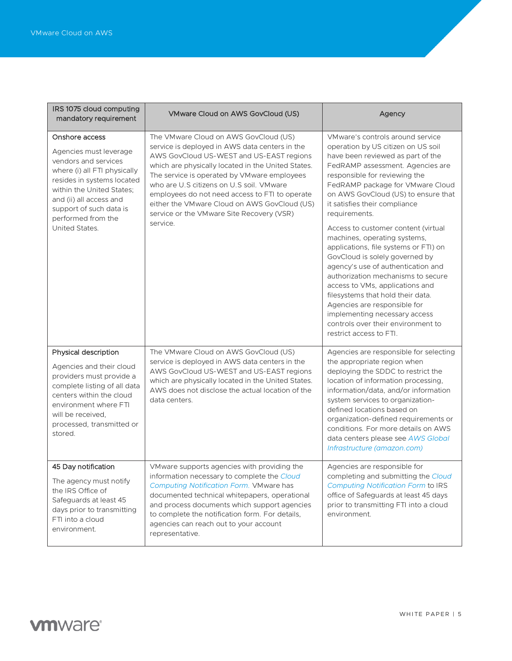| IRS 1075 cloud computing<br>mandatory requirement                                                                                                                                                                                                         | VMware Cloud on AWS GovCloud (US)                                                                                                                                                                                                                                                                                                                                                                                                               | Agency                                                                                                                                                                                                                                                                                                                                                                                                                                                                                                                                                                                                                                                                                                                                                |
|-----------------------------------------------------------------------------------------------------------------------------------------------------------------------------------------------------------------------------------------------------------|-------------------------------------------------------------------------------------------------------------------------------------------------------------------------------------------------------------------------------------------------------------------------------------------------------------------------------------------------------------------------------------------------------------------------------------------------|-------------------------------------------------------------------------------------------------------------------------------------------------------------------------------------------------------------------------------------------------------------------------------------------------------------------------------------------------------------------------------------------------------------------------------------------------------------------------------------------------------------------------------------------------------------------------------------------------------------------------------------------------------------------------------------------------------------------------------------------------------|
| Onshore access<br>Agencies must leverage<br>vendors and services<br>where (i) all FTI physically<br>resides in systems located<br>within the United States;<br>and (ii) all access and<br>support of such data is<br>performed from the<br>United States. | The VMware Cloud on AWS GovCloud (US)<br>service is deployed in AWS data centers in the<br>AWS GovCloud US-WEST and US-EAST regions<br>which are physically located in the United States.<br>The service is operated by VMware employees<br>who are U.S citizens on U.S soil. VMware<br>employees do not need access to FTI to operate<br>either the VMware Cloud on AWS GovCloud (US)<br>service or the VMware Site Recovery (VSR)<br>service. | VMware's controls around service<br>operation by US citizen on US soil<br>have been reviewed as part of the<br>FedRAMP assessment. Agencies are<br>responsible for reviewing the<br>FedRAMP package for VMware Cloud<br>on AWS GovCloud (US) to ensure that<br>it satisfies their compliance<br>requirements.<br>Access to customer content (virtual<br>machines, operating systems,<br>applications, file systems or FTI) on<br>GovCloud is solely governed by<br>agency's use of authentication and<br>authorization mechanisms to secure<br>access to VMs, applications and<br>filesystems that hold their data.<br>Agencies are responsible for<br>implementing necessary access<br>controls over their environment to<br>restrict access to FTI. |
| Physical description<br>Agencies and their cloud<br>providers must provide a<br>complete listing of all data<br>centers within the cloud<br>environment where FTI<br>will be received.<br>processed, transmitted or<br>stored.                            | The VMware Cloud on AWS GovCloud (US)<br>service is deployed in AWS data centers in the<br>AWS GovCloud US-WEST and US-EAST regions<br>which are physically located in the United States.<br>AWS does not disclose the actual location of the<br>data centers.                                                                                                                                                                                  | Agencies are responsible for selecting<br>the appropriate region when<br>deploying the SDDC to restrict the<br>location of information processing,<br>information/data, and/or information<br>system services to organization-<br>defined locations based on<br>organization-defined requirements or<br>conditions. For more details on AWS<br>data centers please see AWS Global<br>Infrastructure (amazon.com)                                                                                                                                                                                                                                                                                                                                      |
| 45 Day notification<br>The agency must notify<br>the IRS Office of<br>Safeguards at least 45<br>days prior to transmitting<br>FTI into a cloud<br>environment.                                                                                            | VMware supports agencies with providing the<br>information necessary to complete the Cloud<br>Computing Notification Form. VMware has<br>documented technical whitepapers, operational<br>and process documents which support agencies<br>to complete the notification form. For details,<br>agencies can reach out to your account<br>representative.                                                                                          | Agencies are responsible for<br>completing and submitting the Cloud<br><b>Computing Notification Form to IRS</b><br>office of Safeguards at least 45 days<br>prior to transmitting FTI into a cloud<br>environment.                                                                                                                                                                                                                                                                                                                                                                                                                                                                                                                                   |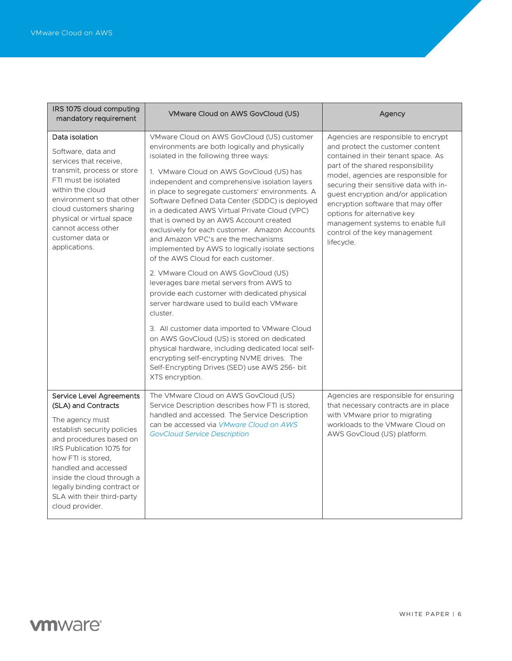| IRS 1075 cloud computing<br>mandatory requirement                                                                                                                                                                                                                                                                           | <b>VMware Cloud on AWS GovCloud (US)</b>                                                                                                                                                                                                                                                                                                                                                                                                                                                                                                                                                                                    | Agency                                                                                                                                                                                                                                                                                                                                                                                                                               |
|-----------------------------------------------------------------------------------------------------------------------------------------------------------------------------------------------------------------------------------------------------------------------------------------------------------------------------|-----------------------------------------------------------------------------------------------------------------------------------------------------------------------------------------------------------------------------------------------------------------------------------------------------------------------------------------------------------------------------------------------------------------------------------------------------------------------------------------------------------------------------------------------------------------------------------------------------------------------------|--------------------------------------------------------------------------------------------------------------------------------------------------------------------------------------------------------------------------------------------------------------------------------------------------------------------------------------------------------------------------------------------------------------------------------------|
| Data isolation<br>Software, data and<br>services that receive.<br>transmit, process or store<br>FTI must be isolated<br>within the cloud<br>environment so that other<br>cloud customers sharing<br>physical or virtual space<br>cannot access other<br>customer data or<br>applications.                                   | VMware Cloud on AWS GovCloud (US) customer<br>environments are both logically and physically<br>isolated in the following three ways:<br>1. VMware Cloud on AWS GovCloud (US) has<br>independent and comprehensive isolation layers<br>in place to segregate customers' environments. A<br>Software Defined Data Center (SDDC) is deployed<br>in a dedicated AWS Virtual Private Cloud (VPC)<br>that is owned by an AWS Account created<br>exclusively for each customer. Amazon Accounts<br>and Amazon VPC's are the mechanisms<br>implemented by AWS to logically isolate sections<br>of the AWS Cloud for each customer. | Agencies are responsible to encrypt<br>and protect the customer content<br>contained in their tenant space. As<br>part of the shared responsibility<br>model, agencies are responsible for<br>securing their sensitive data with in-<br>guest encryption and/or application<br>encryption software that may offer<br>options for alternative key<br>management systems to enable full<br>control of the key management<br>lifecycle. |
|                                                                                                                                                                                                                                                                                                                             | 2. VMware Cloud on AWS GovCloud (US)<br>leverages bare metal servers from AWS to<br>provide each customer with dedicated physical<br>server hardware used to build each VMware<br>cluster.                                                                                                                                                                                                                                                                                                                                                                                                                                  |                                                                                                                                                                                                                                                                                                                                                                                                                                      |
|                                                                                                                                                                                                                                                                                                                             | 3. All customer data imported to VMware Cloud<br>on AWS GovCloud (US) is stored on dedicated<br>physical hardware, including dedicated local self-<br>encrypting self-encrypting NVME drives. The<br>Self-Encrypting Drives (SED) use AWS 256- bit<br>XTS encryption.                                                                                                                                                                                                                                                                                                                                                       |                                                                                                                                                                                                                                                                                                                                                                                                                                      |
| <b>Service Level Agreements</b><br>(SLA) and Contracts<br>The agency must<br>establish security policies<br>and procedures based on<br>IRS Publication 1075 for<br>how FTI is stored.<br>handled and accessed<br>inside the cloud through a<br>legally binding contract or<br>SLA with their third-party<br>cloud provider. | The VMware Cloud on AWS GovCloud (US)<br>Service Description describes how FTI is stored.<br>handled and accessed. The Service Description<br>can be accessed via VMware Cloud on AWS<br><b>GovCloud Service Description</b>                                                                                                                                                                                                                                                                                                                                                                                                | Agencies are responsible for ensuring<br>that necessary contracts are in place<br>with VMware prior to migrating<br>workloads to the VMware Cloud on<br>AWS GovCloud (US) platform.                                                                                                                                                                                                                                                  |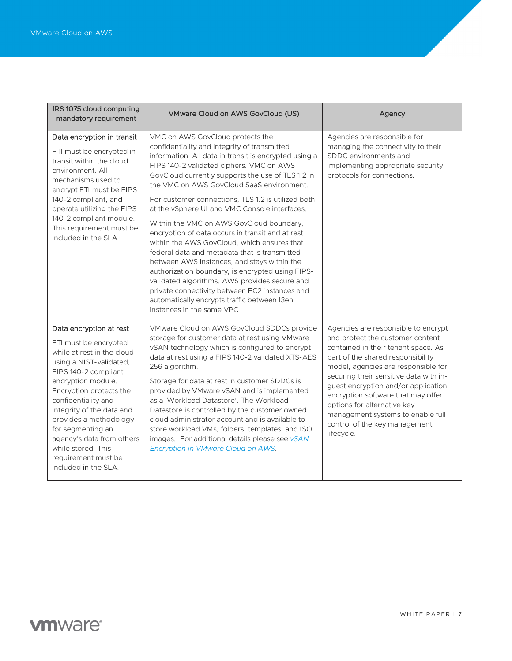| IRS 1075 cloud computing<br>mandatory requirement                                                                                                                                                                                                                                                                                                                                       | VMware Cloud on AWS GovCloud (US)                                                                                                                                                                                                                                                                                                                                                                                                                                                                                                                                                                                                                                                                                                                                                                                                                                               | Agency                                                                                                                                                                                                                                                                                                                                                                                                                               |
|-----------------------------------------------------------------------------------------------------------------------------------------------------------------------------------------------------------------------------------------------------------------------------------------------------------------------------------------------------------------------------------------|---------------------------------------------------------------------------------------------------------------------------------------------------------------------------------------------------------------------------------------------------------------------------------------------------------------------------------------------------------------------------------------------------------------------------------------------------------------------------------------------------------------------------------------------------------------------------------------------------------------------------------------------------------------------------------------------------------------------------------------------------------------------------------------------------------------------------------------------------------------------------------|--------------------------------------------------------------------------------------------------------------------------------------------------------------------------------------------------------------------------------------------------------------------------------------------------------------------------------------------------------------------------------------------------------------------------------------|
| Data encryption in transit<br>FTI must be encrypted in<br>transit within the cloud<br>environment. All<br>mechanisms used to<br>encrypt FTI must be FIPS<br>140-2 compliant, and<br>operate utilizing the FIPS<br>140-2 compliant module.<br>This requirement must be<br>included in the SLA.                                                                                           | VMC on AWS GovCloud protects the<br>confidentiality and integrity of transmitted<br>information All data in transit is encrypted using a<br>FIPS 140-2 validated ciphers. VMC on AWS<br>GovCloud currently supports the use of TLS 1.2 in<br>the VMC on AWS GovCloud SaaS environment.<br>For customer connections, TLS 1.2 is utilized both<br>at the vSphere UI and VMC Console interfaces.<br>Within the VMC on AWS GovCloud boundary,<br>encryption of data occurs in transit and at rest<br>within the AWS GovCloud, which ensures that<br>federal data and metadata that is transmitted<br>between AWS instances, and stays within the<br>authorization boundary, is encrypted using FIPS-<br>validated algorithms. AWS provides secure and<br>private connectivity between EC2 instances and<br>automatically encrypts traffic between I3en<br>instances in the same VPC | Agencies are responsible for<br>managing the connectivity to their<br>SDDC environments and<br>implementing appropriate security<br>protocols for connections.                                                                                                                                                                                                                                                                       |
| Data encryption at rest<br>FTI must be encrypted<br>while at rest in the cloud<br>using a NIST-validated,<br>FIPS 140-2 compliant<br>encryption module.<br>Encryption protects the<br>confidentiality and<br>integrity of the data and<br>provides a methodology<br>for segmenting an<br>agency's data from others<br>while stored. This<br>requirement must be<br>included in the SLA. | VMware Cloud on AWS GovCloud SDDCs provide<br>storage for customer data at rest using VMware<br>vSAN technology which is configured to encrypt<br>data at rest using a FIPS 140-2 validated XTS-AES<br>256 algorithm.<br>Storage for data at rest in customer SDDCs is<br>provided by VMware vSAN and is implemented<br>as a 'Workload Datastore'. The Workload<br>Datastore is controlled by the customer owned<br>cloud administrator account and is available to<br>store workload VMs, folders, templates, and ISO<br>images. For additional details please see vSAN<br>Encryption in VMware Cloud on AWS.                                                                                                                                                                                                                                                                  | Agencies are responsible to encrypt<br>and protect the customer content<br>contained in their tenant space. As<br>part of the shared responsibility<br>model, agencies are responsible for<br>securing their sensitive data with in-<br>guest encryption and/or application<br>encryption software that may offer<br>options for alternative key<br>management systems to enable full<br>control of the key management<br>lifecycle. |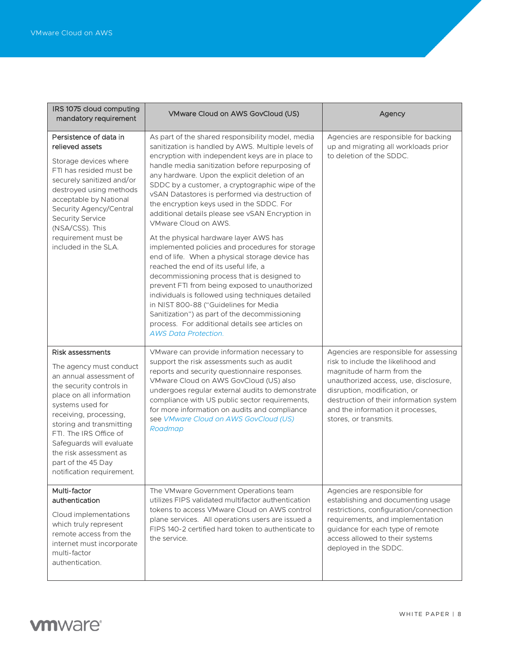| IRS 1075 cloud computing<br>mandatory requirement                                                                                                                                                                                                                                                                                           | VMware Cloud on AWS GovCloud (US)                                                                                                                                                                                                                                                                                                                                                                                                                                                                                                         | Agency                                                                                                                                                                                                                                                                                       |
|---------------------------------------------------------------------------------------------------------------------------------------------------------------------------------------------------------------------------------------------------------------------------------------------------------------------------------------------|-------------------------------------------------------------------------------------------------------------------------------------------------------------------------------------------------------------------------------------------------------------------------------------------------------------------------------------------------------------------------------------------------------------------------------------------------------------------------------------------------------------------------------------------|----------------------------------------------------------------------------------------------------------------------------------------------------------------------------------------------------------------------------------------------------------------------------------------------|
| Persistence of data in<br>relieved assets<br>Storage devices where<br>FTI has resided must be<br>securely sanitized and/or<br>destroyed using methods<br>acceptable by National<br>Security Agency/Central<br><b>Security Service</b><br>(NSA/CSS). This<br>requirement must be<br>included in the SLA.                                     | As part of the shared responsibility model, media<br>sanitization is handled by AWS. Multiple levels of<br>encryption with independent keys are in place to<br>handle media sanitization before repurposing of<br>any hardware. Upon the explicit deletion of an<br>SDDC by a customer, a cryptographic wipe of the<br>vSAN Datastores is performed via destruction of<br>the encryption keys used in the SDDC. For<br>additional details please see vSAN Encryption in<br>VMware Cloud on AWS.<br>At the physical hardware layer AWS has | Agencies are responsible for backing<br>up and migrating all workloads prior<br>to deletion of the SDDC.                                                                                                                                                                                     |
|                                                                                                                                                                                                                                                                                                                                             | implemented policies and procedures for storage<br>end of life. When a physical storage device has<br>reached the end of its useful life, a<br>decommissioning process that is designed to<br>prevent FTI from being exposed to unauthorized<br>individuals is followed using techniques detailed<br>in NIST 800-88 ("Guidelines for Media<br>Sanitization") as part of the decommissioning<br>process. For additional details see articles on<br><b>AWS Data Protection.</b>                                                             |                                                                                                                                                                                                                                                                                              |
| Risk assessments<br>The agency must conduct<br>an annual assessment of<br>the security controls in<br>place on all information<br>systems used for<br>receiving, processing,<br>storing and transmitting<br>FTI. The IRS Office of<br>Safeguards will evaluate<br>the risk assessment as<br>part of the 45 Day<br>notification requirement. | VMware can provide information necessary to<br>support the risk assessments such as audit<br>reports and security questionnaire responses.<br>VMware Cloud on AWS GovCloud (US) also<br>undergoes regular external audits to demonstrate<br>compliance with US public sector requirements,<br>for more information on audits and compliance<br>see VMware Cloud on AWS GovCloud (US)<br>Roadmap                                                                                                                                           | Agencies are responsible for assessing<br>risk to include the likelihood and<br>magnitude of harm from the<br>unauthorized access, use, disclosure,<br>disruption, modification, or<br>destruction of their information system<br>and the information it processes,<br>stores, or transmits. |
| Multi-factor<br>authentication<br>Cloud implementations<br>which truly represent<br>remote access from the<br>internet must incorporate<br>multi-factor<br>authentication.                                                                                                                                                                  | The VMware Government Operations team<br>utilizes FIPS validated multifactor authentication<br>tokens to access VMware Cloud on AWS control<br>plane services. All operations users are issued a<br>FIPS 140-2 certified hard token to authenticate to<br>the service.                                                                                                                                                                                                                                                                    | Agencies are responsible for<br>establishing and documenting usage<br>restrictions, configuration/connection<br>requirements, and implementation<br>guidance for each type of remote<br>access allowed to their systems<br>deployed in the SDDC.                                             |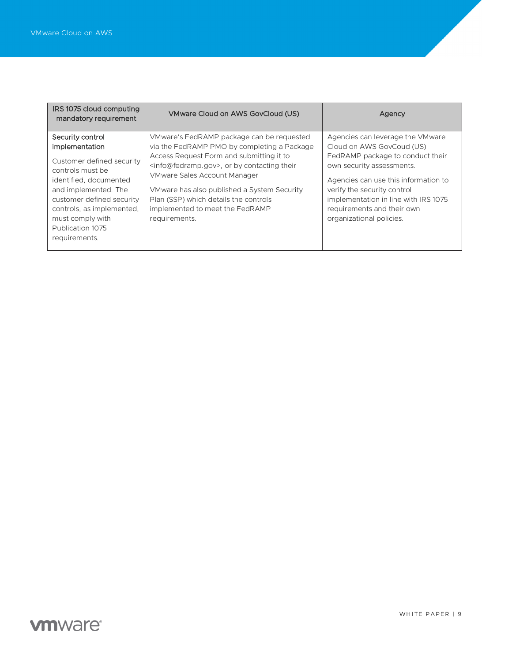| IRS 1075 cloud computing<br>mandatory requirement                                                                                                                                                                                                        | VMware Cloud on AWS GovCloud (US)                                                                                                                                                                                                                                                                                                                                           | Agency                                                                                                                                                                                                                                                                                                  |
|----------------------------------------------------------------------------------------------------------------------------------------------------------------------------------------------------------------------------------------------------------|-----------------------------------------------------------------------------------------------------------------------------------------------------------------------------------------------------------------------------------------------------------------------------------------------------------------------------------------------------------------------------|---------------------------------------------------------------------------------------------------------------------------------------------------------------------------------------------------------------------------------------------------------------------------------------------------------|
| Security control<br>implementation<br>Customer defined security<br>controls must be<br>identified, documented<br>and implemented. The<br>customer defined security<br>controls, as implemented,<br>must comply with<br>Publication 1075<br>requirements. | VMware's FedRAMP package can be requested<br>via the FedRAMP PMO by completing a Package<br>Access Request Form and submitting it to<br>$\leq$ info@fedramp.gov>, or by contacting their<br><b>VMware Sales Account Manager</b><br>VMware has also published a System Security<br>Plan (SSP) which details the controls<br>implemented to meet the FedRAMP<br>requirements. | Agencies can leverage the VMware<br>Cloud on AWS GovCoud (US)<br>FedRAMP package to conduct their<br>own security assessments.<br>Agencies can use this information to<br>verify the security control<br>implementation in line with IRS 1075<br>requirements and their own<br>organizational policies. |

## **vm**ware<sup>®</sup>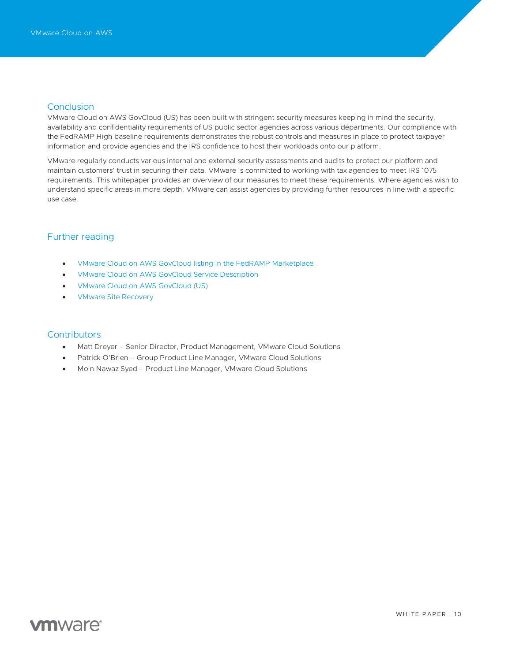### <span id="page-9-0"></span>**Conclusion**

VMware Cloud on AWS GovCloud (US) has been built with stringent security measures keeping in mind the security, availability and confidentiality requirements of US public sector agencies across various departments. Our compliance with the FedRAMP High baseline requirements demonstrates the robust controls and measures in place to protect taxpayer information and provide agencies and the IRS confidence to host their workloads onto our platform.

VMware regularly conducts various internal and external security assessments and audits to protect our platform and maintain customers' trust in securing their data. VMware is committed to working with tax agencies to meet IRS 1075 requirements. This whitepaper provides an overview of our measures to meet these requirements. Where agencies wish to understand specific areas in more depth, VMware can assist agencies by providing further resources in line with a specific use case.

### <span id="page-9-1"></span>Further reading

- [VMware Cloud on AWS GovCloud listing in the FedRAMP Marketplace](https://marketplace.fedramp.gov/#!/product/vmware-cloud-on-aws-govcloud-vmc?sort=productName)
- [VMware Cloud on AWS GovCloud Service Description](https://www.vmware.com/content/dam/digitalmarketing/vmware/en/pdf/downloads/eula/vmw-vmc-aws-govcloud-service-description.pdf)
- [VMware Cloud on AWS GovCloud \(US\)](https://www.vmware.com/in/products/vmc-on-aws/govcloud.html)
- [VMware Site Recovery](https://www.vmware.com/in/products/site-recovery.html)

### <span id="page-9-2"></span>**Contributors**

- Matt Dreyer Senior Director, Product Management, VMware Cloud Solutions
- Patrick O'Brien Group Product Line Manager, VMware Cloud Solutions
- Moin Nawaz Syed Product Line Manager, VMware Cloud Solutions

### **vm**ware<sup>®</sup>